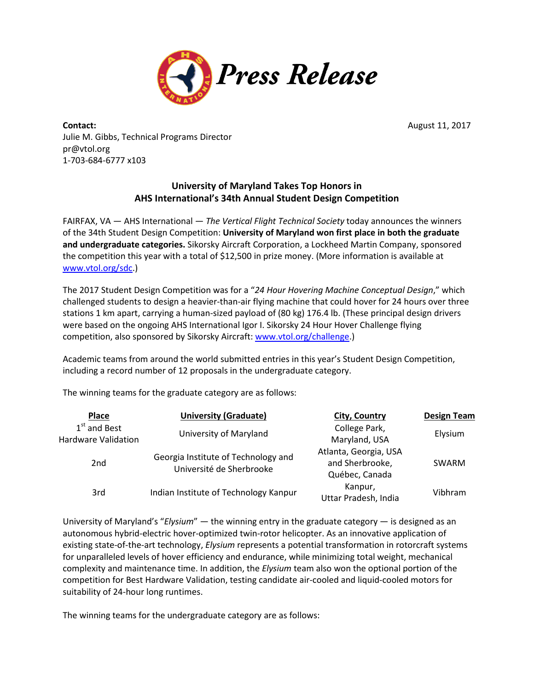

**Contact:** August 11, 2017 Julie M. Gibbs, Technical Programs Director pr@vtol.org 1-703-684-6777 x103

## **University of Maryland Takes Top Honors in AHS International's 34th Annual Student Design Competition**

FAIRFAX, VA — AHS International — *The Vertical Flight Technical Society* today announces the winners of the 34th Student Design Competition: **University of Maryland won first place in both the graduate and undergraduate categories.** Sikorsky Aircraft Corporation, a Lockheed Martin Company, sponsored the competition this year with a total of \$12,500 in prize money. (More information is available at [www.vtol.org/sdc.](http://www.vtol.org/sdc))

The 2017 Student Design Competition was for a "*24 Hour Hovering Machine Conceptual Design*," which challenged students to design a heavier-than-air flying machine that could hover for 24 hours over three stations 1 km apart, carrying a human-sized payload of (80 kg) 176.4 lb. (These principal design drivers were based on the ongoing AHS International Igor I. Sikorsky 24 Hour Hover Challenge flying competition, also sponsored by Sikorsky Aircraft[: www.vtol.org/challenge.](http://www.vtol.org/challenge))

Academic teams from around the world submitted entries in this year's Student Design Competition, including a record number of 12 proposals in the undergraduate category.

The winning teams for the graduate category are as follows:

| Place                                        | <b>University (Graduate)</b>                                    | City, Country                                              | <b>Design Team</b> |
|----------------------------------------------|-----------------------------------------------------------------|------------------------------------------------------------|--------------------|
| $1st$ and Best<br><b>Hardware Validation</b> | University of Maryland                                          | College Park,<br>Maryland, USA                             | Elysium            |
| 2 <sub>nd</sub>                              | Georgia Institute of Technology and<br>Université de Sherbrooke | Atlanta, Georgia, USA<br>and Sherbrooke,<br>Québec, Canada | <b>SWARM</b>       |
| 3rd                                          | Indian Institute of Technology Kanpur                           | Kanpur,<br>Uttar Pradesh, India                            | Vibhram            |

University of Maryland's "*Elysium*" — the winning entry in the graduate category — is designed as an autonomous hybrid-electric hover-optimized twin-rotor helicopter. As an innovative application of existing state-of-the-art technology, *Elysium* represents a potential transformation in rotorcraft systems for unparalleled levels of hover efficiency and endurance, while minimizing total weight, mechanical complexity and maintenance time. In addition, the *Elysium* team also won the optional portion of the competition for Best Hardware Validation, testing candidate air-cooled and liquid-cooled motors for suitability of 24-hour long runtimes.

The winning teams for the undergraduate category are as follows: